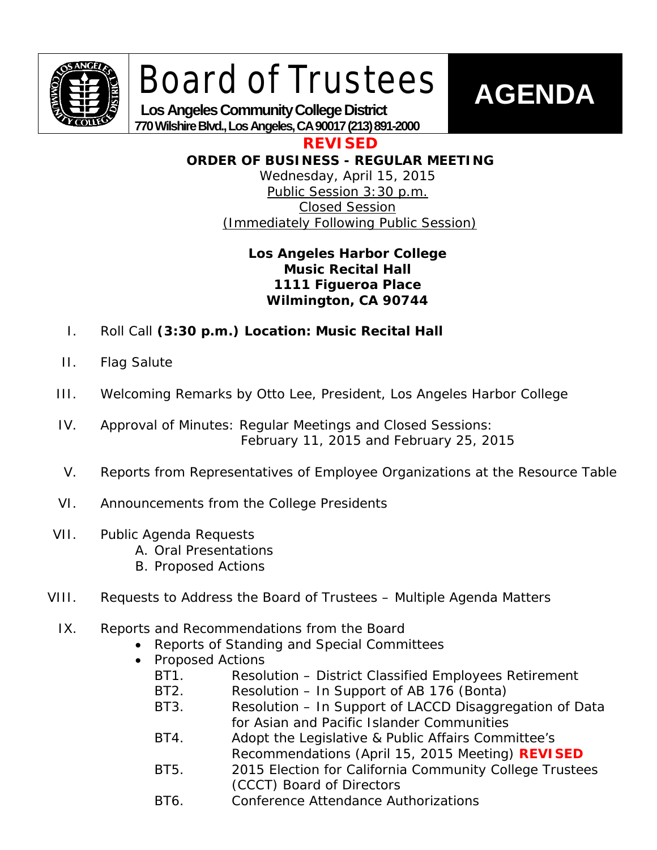

# Board of Trustees



 **Los Angeles Community College District 770 Wilshire Blvd., Los Angeles, CA 90017 (213) 891-2000**

**REVISED**

**ORDER OF BUSINESS - REGULAR MEETING**

Wednesday, April 15, 2015 Public Session 3:30 p.m. Closed Session (Immediately Following Public Session)

# **Los Angeles Harbor College Music Recital Hall 1111 Figueroa Place Wilmington, CA 90744**

- I. Roll Call **(3:30 p.m.) Location: Music Recital Hall**
- II. Flag Salute
- III. Welcoming Remarks by Otto Lee, President, Los Angeles Harbor College
- IV. Approval of Minutes: Regular Meetings and Closed Sessions: February 11, 2015 and February 25, 2015
- V. Reports from Representatives of Employee Organizations at the Resource Table
- VI. Announcements from the College Presidents
- VII. Public Agenda Requests
	- A. Oral Presentations
	- B. Proposed Actions
- VIII. Requests to Address the Board of Trustees Multiple Agenda Matters
	- IX. Reports and Recommendations from the Board
		- Reports of Standing and Special Committees
		- Proposed Actions
			- BT1. Resolution District Classified Employees Retirement
			- BT2. Resolution In Support of AB 176 (Bonta)
			- BT3. Resolution In Support of LACCD Disaggregation of Data for Asian and Pacific Islander Communities
			- BT4. Adopt the Legislative & Public Affairs Committee's Recommendations (April 15, 2015 Meeting) **REVISED**
			- BT5. 2015 Election for California Community College Trustees (CCCT) Board of Directors
			- BT6. Conference Attendance Authorizations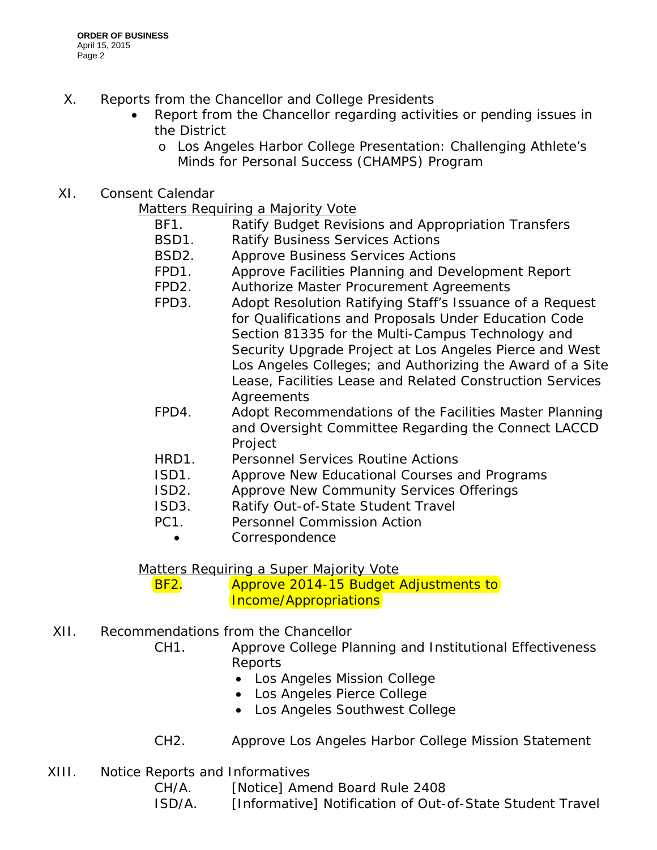- X. Reports from the Chancellor and College Presidents
	- Report from the Chancellor regarding activities or pending issues in the District
		- o Los Angeles Harbor College Presentation: Challenging Athlete's Minds for Personal Success (CHAMPS) Program
- XI. Consent Calendar

Matters Requiring a Majority Vote

- BF1. Ratify Budget Revisions and Appropriation Transfers
- BSD1. Ratify Business Services Actions
- BSD2. Approve Business Services Actions
- FPD1. Approve Facilities Planning and Development Report
- FPD2. Authorize Master Procurement Agreements
- FPD3. Adopt Resolution Ratifying Staff's Issuance of a Request for Qualifications and Proposals Under Education Code Section 81335 for the Multi-Campus Technology and Security Upgrade Project at Los Angeles Pierce and West Los Angeles Colleges; and Authorizing the Award of a Site Lease, Facilities Lease and Related Construction Services Agreements
- FPD4. Adopt Recommendations of the Facilities Master Planning and Oversight Committee Regarding the Connect LACCD **Project**
- HRD1. Personnel Services Routine Actions
- ISD1. Approve New Educational Courses and Programs
- ISD2. Approve New Community Services Offerings
- ISD3. Ratify Out-of-State Student Travel
- PC1. Personnel Commission Action
	- Correspondence

Matters Requiring a Super Majority Vote

BF2. Approve 2014-15 Budget Adjustments to Income/Appropriations

- XII. Recommendations from the Chancellor
	- CH1. Approve College Planning and Institutional Effectiveness **Reports** 
		- Los Angeles Mission College
		- Los Angeles Pierce College
		- Los Angeles Southwest College
	- CH2. Approve Los Angeles Harbor College Mission Statement
- XIII. Notice Reports and Informatives
	- CH/A. [Notice] Amend Board Rule 2408
	- ISD/A. [Informative] Notification of Out-of-State Student Travel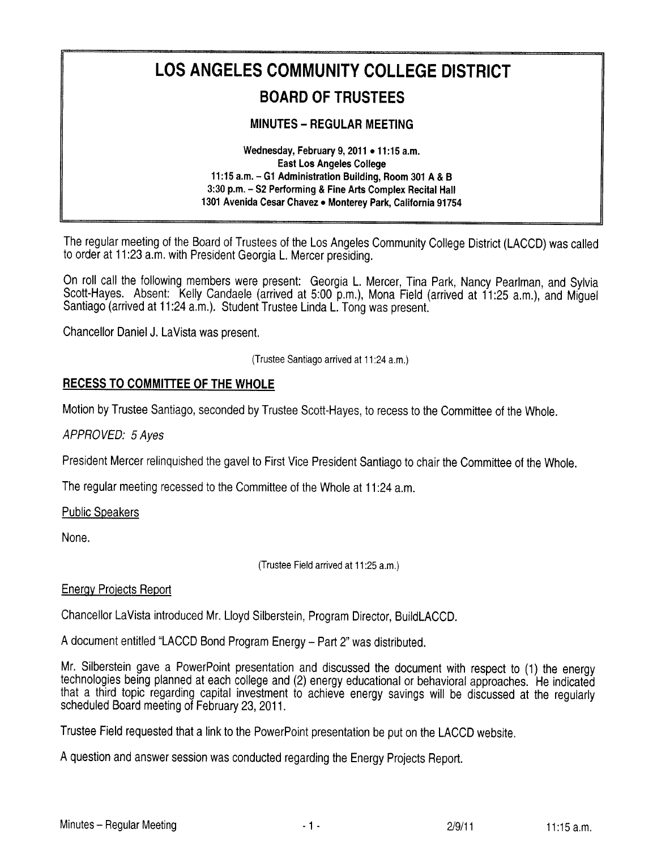# LOS ANGELES COMMUNITY COLLEGE DISTRICT **BOARD OF TRUSTEES**

#### **MINUTES - REGULAR MEETING**

Wednesday, February 9, 2011 . 11:15 a.m. **East Los Angeles College** 11:15 a.m. - G1 Administration Building, Room 301 A & B 3:30 p.m. - S2 Performing & Fine Arts Complex Recital Hall 1301 Avenida Cesar Chavez . Monterey Park, California 91754

The regular meeting of the Board of Trustees of the Los Angeles Community College District (LACCD) was called to order at 11:23 a.m. with President Georgia L. Mercer presiding.

On roll call the following members were present: Georgia L. Mercer, Tina Park, Nancy Pearlman, and Sylvia Scott-Haves. Absent: Kelly Candaele (arrived at 5:00 p.m.), Mona Field (arrived at 11:25 a.m.), and Miquel Santiago (arrived at 11:24 a.m.). Student Trustee Linda L. Tong was present.

Chancellor Daniel J. LaVista was present.

(Trustee Santiago arrived at 11:24 a.m.)

#### **RECESS TO COMMITTEE OF THE WHOLE**

Motion by Trustee Santiago, seconded by Trustee Scott-Haves, to recess to the Committee of the Whole.

APPROVED: 5 Aves

President Mercer relinguished the gavel to First Vice President Santiago to chair the Committee of the Whole.

The regular meeting recessed to the Committee of the Whole at 11:24 a.m.

**Public Speakers** 

None.

(Trustee Field arrived at 11:25 a.m.)

#### **Energy Projects Report**

Chancellor LaVista introduced Mr. Lloyd Silberstein, Program Director, BuildLACCD.

A document entitled "LACCD Bond Program Energy - Part 2" was distributed.

Mr. Silberstein gave a PowerPoint presentation and discussed the document with respect to (1) the energy technologies being planned at each college and (2) energy educational or behavioral approaches. He indicated that a third topic regarding capital investment to achieve energy savings will be discussed at the regularly scheduled Board meeting of February 23, 2011.

Trustee Field requested that a link to the PowerPoint presentation be put on the LACCD website.

A question and answer session was conducted regarding the Energy Projects Report.